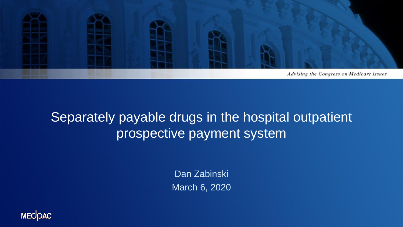

#### Separately payable drugs in the hospital outpatient prospective payment system

Dan Zabinski March 6, 2020

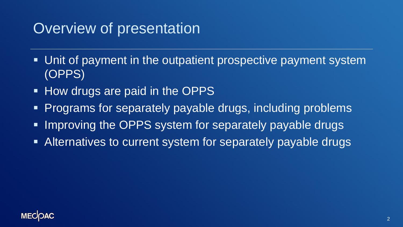# Overview of presentation

- Unit of payment in the outpatient prospective payment system (OPPS)
- **How drugs are paid in the OPPS**
- **Programs for separately payable drugs, including problems**
- **. Improving the OPPS system for separately payable drugs**
- **EXTERN Alternatives to current system for separately payable drugs**

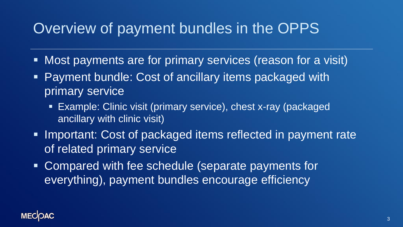# Overview of payment bundles in the OPPS

- Most payments are for primary services (reason for a visit)
- Payment bundle: Cost of ancillary items packaged with primary service
	- **Example: Clinic visit (primary service), chest x-ray (packaged** ancillary with clinic visit)
- **Important: Cost of packaged items reflected in payment rate** of related primary service
- Compared with fee schedule (separate payments for everything), payment bundles encourage efficiency

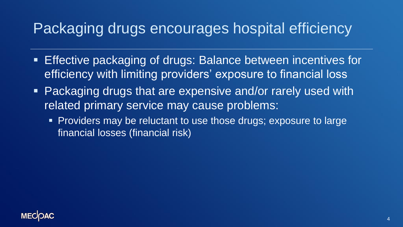# Packaging drugs encourages hospital efficiency

- **Effective packaging of drugs: Balance between incentives for** efficiency with limiting providers' exposure to financial loss
- Packaging drugs that are expensive and/or rarely used with related primary service may cause problems:
	- **Providers may be reluctant to use those drugs; exposure to large** financial losses (financial risk)

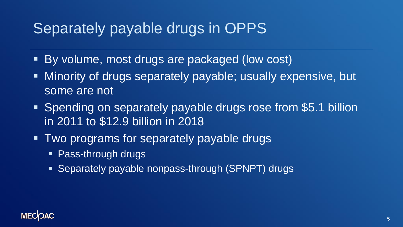# Separately payable drugs in OPPS

- By volume, most drugs are packaged (low cost)
- **EXT Minority of drugs separately payable; usually expensive, but** some are not
- **Spending on separately payable drugs rose from \$5.1 billion** in 2011 to \$12.9 billion in 2018
- **Two programs for separately payable drugs** 
	- **E** Pass-through drugs
	- **Example 3** Separately payable nonpass-through (SPNPT) drugs

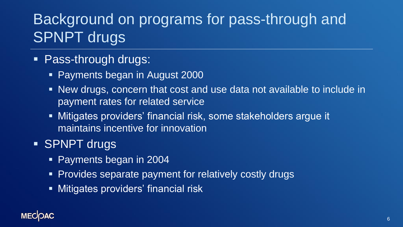# Background on programs for pass-through and SPNPT drugs

#### **• Pass-through drugs:**

- **Payments began in August 2000**
- New drugs, concern that cost and use data not available to include in payment rates for related service
- **EXTERNIFING** Mitigates providers' financial risk, some stakeholders argue it maintains incentive for innovation

#### **E** SPNPT drugs

- Payments began in 2004
- **Provides separate payment for relatively costly drugs**
- **EXECUTE:** Mitigates providers' financial risk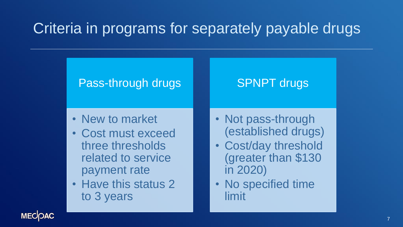# Criteria in programs for separately payable drugs

#### Pass-through drugs

- New to market
- Cost must exceed three thresholds related to service payment rate
- Have this status 2 to 3 years

#### • Not pass-through (established drugs)

SPNPT drugs

- Cost/day threshold (greater than \$130 in 2020)
- No specified time limit

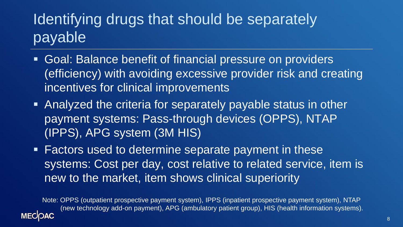# Identifying drugs that should be separately payable

- **Goal: Balance benefit of financial pressure on providers** (efficiency) with avoiding excessive provider risk and creating incentives for clinical improvements
- Analyzed the criteria for separately payable status in other payment systems: Pass-through devices (OPPS), NTAP (IPPS), APG system (3M HIS)
- Factors used to determine separate payment in these systems: Cost per day, cost relative to related service, item is new to the market, item shows clinical superiority

Note: OPPS (outpatient prospective payment system), IPPS (inpatient prospective payment system), NTAP (new technology add-on payment), APG (ambulatory patient group), HIS (health information systems).

**MECOAC**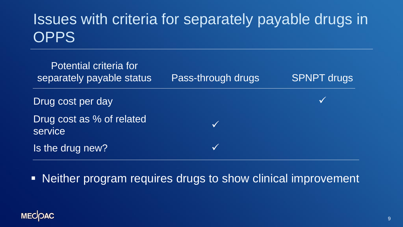# Issues with criteria for separately payable drugs in **OPPS**



**EXET IN A Reither program requires drugs to show clinical improvement** 

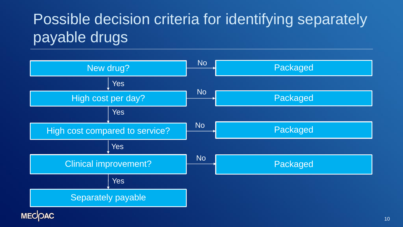# Possible decision criteria for identifying separately payable drugs

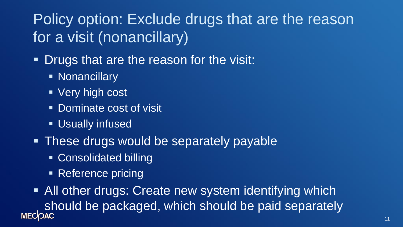# Policy option: Exclude drugs that are the reason for a visit (nonancillary)

- **Drugs that are the reason for the visit:** 
	- Nonancillary
	- Very high cost
	- Dominate cost of visit
	- **Usually infused**
- **These drugs would be separately payable** 
	- Consolidated billing
	- Reference pricing

■ All other drugs: Create new system identifying which should be packaged, which should be paid separately<br>MECOAC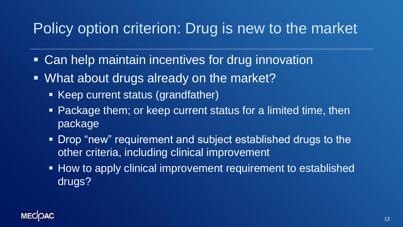# Policy option criterion: Drug is new to the market

- Can help maintain incentives for drug innovation
- What about drugs already on the market?
	- Keep current status (grandfather)
	- Package them; or keep current status for a limited time, then package
	- Drop "new" requirement and subject established drugs to the other criteria, including clinical improvement
	- How to apply clinical improvement requirement to established drugs?

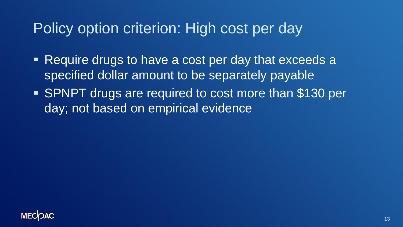## Policy option criterion: High cost per day

- Require drugs to have a cost per day that exceeds a specified dollar amount to be separately payable
- **EXPILED 15 In 2015 SPNPT drugs are required to cost more than \$130 per** day; not based on empirical evidence

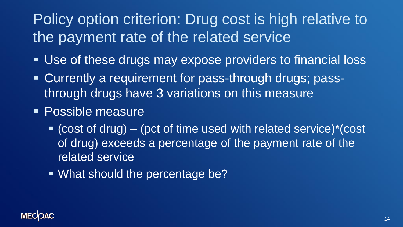# Policy option criterion: Drug cost is high relative to the payment rate of the related service

- Use of these drugs may expose providers to financial loss
- Currently a requirement for pass-through drugs; passthrough drugs have 3 variations on this measure
- Possible measure
	- $\bullet$  (cost of drug) (pct of time used with related service)\*(cost of drug) exceeds a percentage of the payment rate of the related service
	- What should the percentage be?

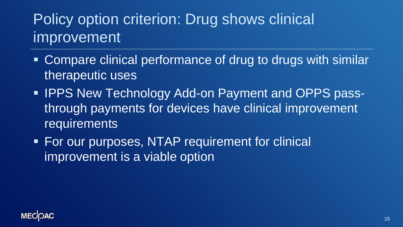# Policy option criterion: Drug shows clinical improvement

- Compare clinical performance of drug to drugs with similar therapeutic uses
- **IPPS New Technology Add-on Payment and OPPS pass**through payments for devices have clinical improvement requirements
- **EXA** For our purposes, NTAP requirement for clinical improvement is a viable option

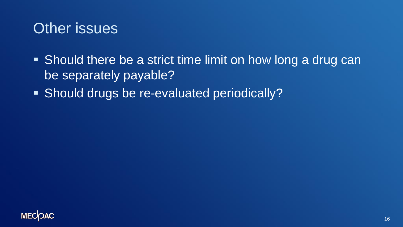

- Should there be a strict time limit on how long a drug can be separately payable?
- Should drugs be re-evaluated periodically?

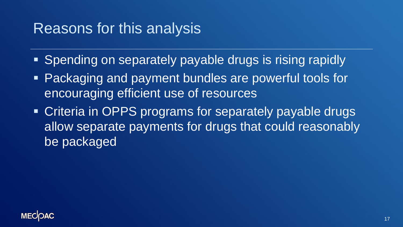#### Reasons for this analysis

- Spending on separately payable drugs is rising rapidly
- Packaging and payment bundles are powerful tools for encouraging efficient use of resources
- Criteria in OPPS programs for separately payable drugs allow separate payments for drugs that could reasonably be packaged